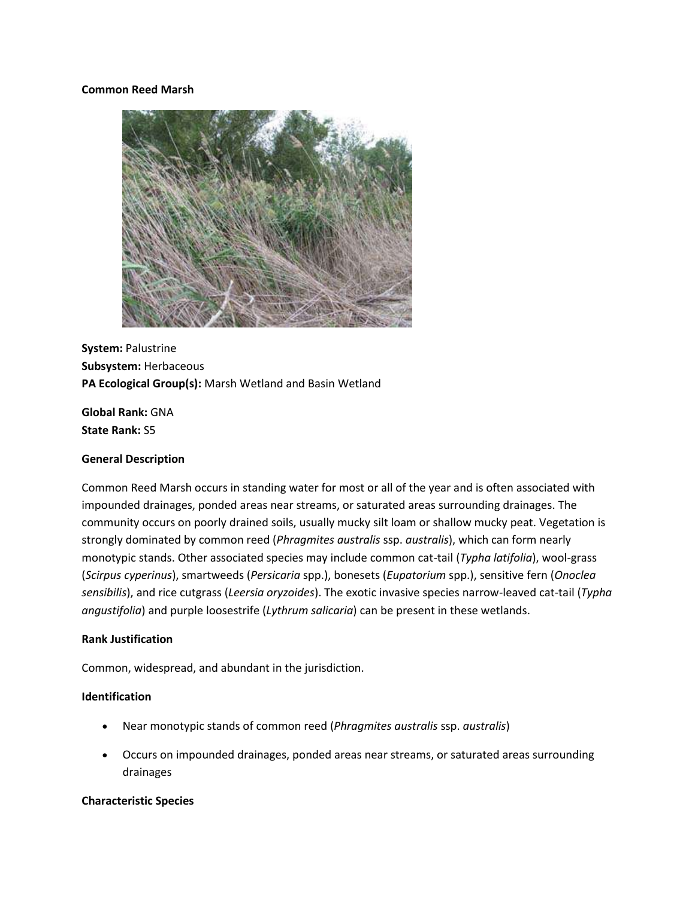### **Common Reed Marsh**



**System:** Palustrine **Subsystem:** Herbaceous **PA Ecological Group(s):** Marsh Wetland and Basin Wetland

**Global Rank:** GNA **State Rank:** S5

### **General Description**

Common Reed Marsh occurs in standing water for most or all of the year and is often associated with impounded drainages, ponded areas near streams, or saturated areas surrounding drainages. The community occurs on poorly drained soils, usually mucky silt loam or shallow mucky peat. Vegetation is strongly dominated by common reed (*Phragmites australis* ssp. *australis*), which can form nearly monotypic stands. Other associated species may include common cat-tail (*Typha latifolia*), wool-grass (*Scirpus cyperinus*), smartweeds (*Persicaria* spp.), bonesets (*Eupatorium* spp.), sensitive fern (*Onoclea sensibilis*), and rice cutgrass (*Leersia oryzoides*). The exotic invasive species narrow-leaved cat-tail (*Typha angustifolia*) and purple loosestrife (*Lythrum salicaria*) can be present in these wetlands.

### **Rank Justification**

Common, widespread, and abundant in the jurisdiction.

## **Identification**

- Near monotypic stands of common reed (*Phragmites australis* ssp. *australis*)
- Occurs on impounded drainages, ponded areas near streams, or saturated areas surrounding drainages

# **Characteristic Species**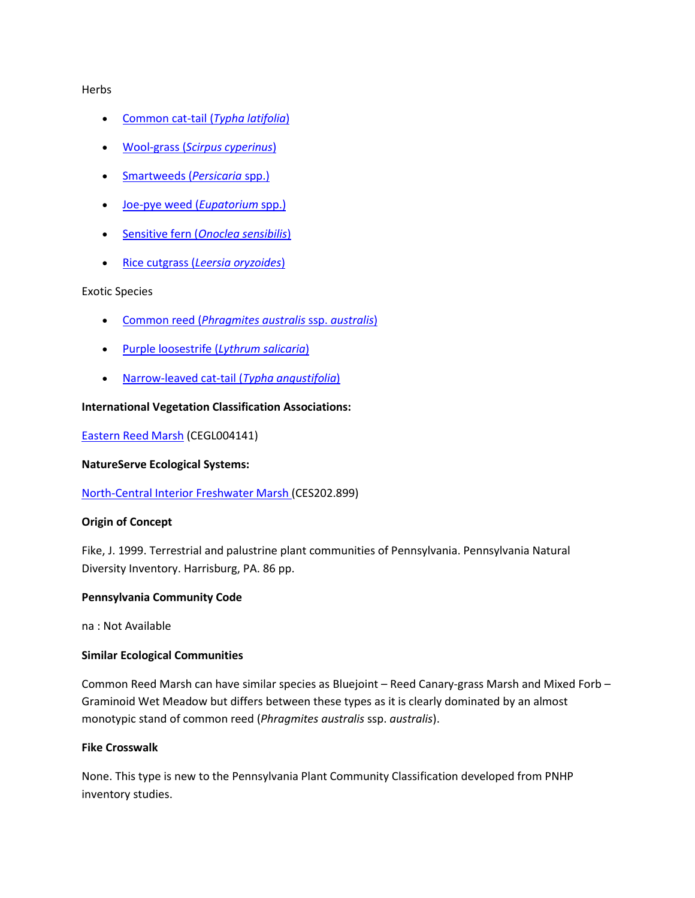### **Herbs**

- [Common cat-tail \(](http://www.natureserve.org/explorer/servlet/NatureServe?searchName=Typha+latifolia)*Typha latifolia*)
- Wool-grass (*[Scirpus cyperinus](http://www.natureserve.org/explorer/servlet/NatureServe?searchName=Scirpus+cyperinus)*)
- [Smartweeds \(](http://www.natureserve.org/explorer/servlet/NatureServe?searchSciOrCommonName=Polygonum)*Persicaria* spp.)
- [Joe-pye weed \(](http://www.natureserve.org/explorer/servlet/NatureServe?searchSciOrCommonName=eupatorium)*Eupatorium* spp.)
- Sensitive fern (*[Onoclea sensibilis](http://www.natureserve.org/explorer/servlet/NatureServe?searchName=Onoclea+sensibilis)*)
- Rice cutgrass (*[Leersia oryzoides](http://www.natureserve.org/explorer/servlet/NatureServe?searchName=Leersia+oryzoides)*)

## Exotic Species

- Common reed (*[Phragmites australis](http://www.natureserve.org/explorer/servlet/NatureServe?searchName=Phragmites+australis+ssp.+australis)* ssp. *australis*)
- [Purple loosestrife \(](http://www.natureserve.org/explorer/servlet/NatureServe?searchName=Lythrum+salicaria)*Lythrum salicaria*)
- [Narrow-leaved cat-tail \(](http://www.natureserve.org/explorer/servlet/NatureServe?searchName=Typha+angustifolia)*Typha angustifolia*)

## **International Vegetation Classification Associations:**

[Eastern Reed Marsh](http://www.natureserve.org/explorer/servlet/NatureServe?searchCommunityUid=ELEMENT_GLOBAL.2.861500) (CEGL004141)

### **NatureServe Ecological Systems:**

[North-Central Interior Freshwater Marsh \(](http://www.natureserve.org/explorer/servlet/NatureServe?searchSystemUid=ELEMENT_GLOBAL.2.732597)CES202.899)

### **Origin of Concept**

Fike, J. 1999. Terrestrial and palustrine plant communities of Pennsylvania. Pennsylvania Natural Diversity Inventory. Harrisburg, PA. 86 pp.

### **Pennsylvania Community Code**

na : Not Available

### **Similar Ecological Communities**

Common Reed Marsh can have similar species as Bluejoint – Reed Canary-grass Marsh and Mixed Forb – Graminoid Wet Meadow but differs between these types as it is clearly dominated by an almost monotypic stand of common reed (*Phragmites australis* ssp. *australis*).

## **Fike Crosswalk**

None. This type is new to the Pennsylvania Plant Community Classification developed from PNHP inventory studies.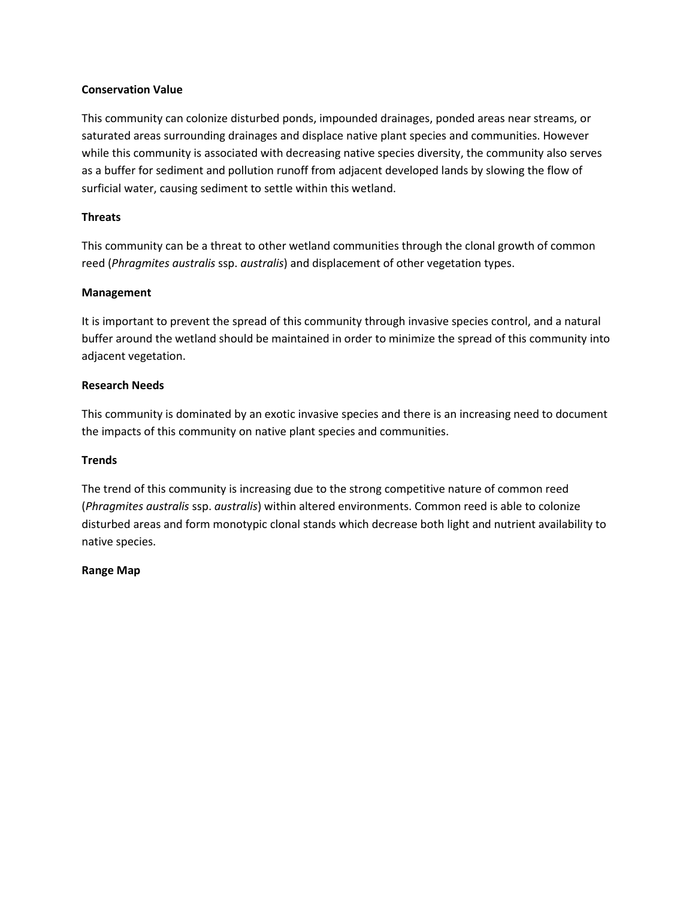## **Conservation Value**

This community can colonize disturbed ponds, impounded drainages, ponded areas near streams, or saturated areas surrounding drainages and displace native plant species and communities. However while this community is associated with decreasing native species diversity, the community also serves as a buffer for sediment and pollution runoff from adjacent developed lands by slowing the flow of surficial water, causing sediment to settle within this wetland.

## **Threats**

This community can be a threat to other wetland communities through the clonal growth of common reed (*Phragmites australis* ssp. *australis*) and displacement of other vegetation types.

## **Management**

It is important to prevent the spread of this community through invasive species control, and a natural buffer around the wetland should be maintained in order to minimize the spread of this community into adjacent vegetation.

## **Research Needs**

This community is dominated by an exotic invasive species and there is an increasing need to document the impacts of this community on native plant species and communities.

### **Trends**

The trend of this community is increasing due to the strong competitive nature of common reed (*Phragmites australis* ssp. *australis*) within altered environments. Common reed is able to colonize disturbed areas and form monotypic clonal stands which decrease both light and nutrient availability to native species.

### **Range Map**